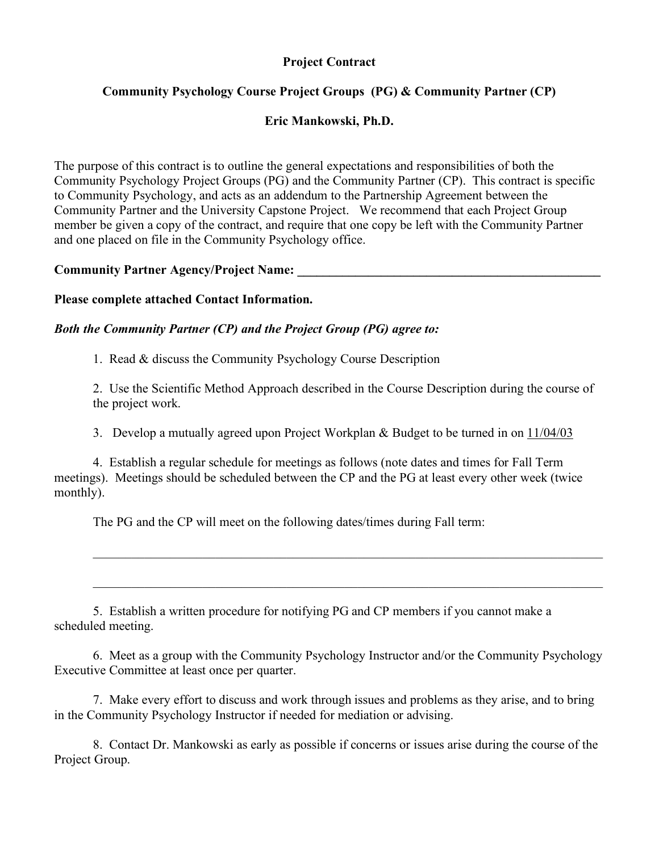#### **Project Contract**

### **Community Psychology Course Project Groups (PG) & Community Partner (CP)**

#### **Eric Mankowski, Ph.D.**

The purpose of this contract is to outline the general expectations and responsibilities of both the Community Psychology Project Groups (PG) and the Community Partner (CP). This contract is specific to Community Psychology, and acts as an addendum to the Partnership Agreement between the Community Partner and the University Capstone Project. We recommend that each Project Group member be given a copy of the contract, and require that one copy be left with the Community Partner and one placed on file in the Community Psychology office.

#### **Community Partner Agency/Project Name: \_\_\_\_\_\_\_\_\_\_\_\_\_\_\_\_\_\_\_\_\_\_\_\_\_\_\_\_\_\_\_\_\_\_\_\_\_\_\_\_\_\_\_\_\_\_\_**

#### **Please complete attached Contact Information.**

#### *Both the Community Partner (CP) and the Project Group (PG) agree to:*

1. Read & discuss the Community Psychology Course Description

2. Use the Scientific Method Approach described in the Course Description during the course of the project work.

 $\_$  , and the contribution of the contribution of the contribution of the contribution of  $\mathcal{L}_\text{max}$ 

 $\mathcal{L}_\mathcal{L} = \{ \mathcal{L}_\mathcal{L} = \{ \mathcal{L}_\mathcal{L} = \{ \mathcal{L}_\mathcal{L} = \{ \mathcal{L}_\mathcal{L} = \{ \mathcal{L}_\mathcal{L} = \{ \mathcal{L}_\mathcal{L} = \{ \mathcal{L}_\mathcal{L} = \{ \mathcal{L}_\mathcal{L} = \{ \mathcal{L}_\mathcal{L} = \{ \mathcal{L}_\mathcal{L} = \{ \mathcal{L}_\mathcal{L} = \{ \mathcal{L}_\mathcal{L} = \{ \mathcal{L}_\mathcal{L} = \{ \mathcal{L}_\mathcal{$ 

3. Develop a mutually agreed upon Project Workplan & Budget to be turned in on 11/04/03

4. Establish a regular schedule for meetings as follows (note dates and times for Fall Term meetings). Meetings should be scheduled between the CP and the PG at least every other week (twice monthly).

The PG and the CP will meet on the following dates/times during Fall term:

5. Establish a written procedure for notifying PG and CP members if you cannot make a scheduled meeting.

6. Meet as a group with the Community Psychology Instructor and/or the Community Psychology Executive Committee at least once per quarter.

7. Make every effort to discuss and work through issues and problems as they arise, and to bring in the Community Psychology Instructor if needed for mediation or advising.

8. Contact Dr. Mankowski as early as possible if concerns or issues arise during the course of the Project Group.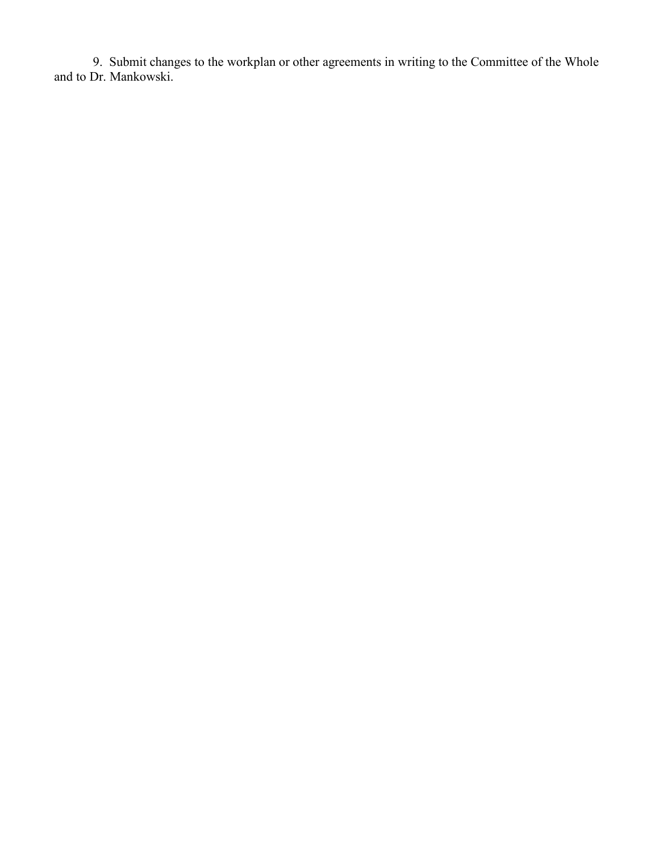9. Submit changes to the workplan or other agreements in writing to the Committee of the Whole and to Dr. Mankowski.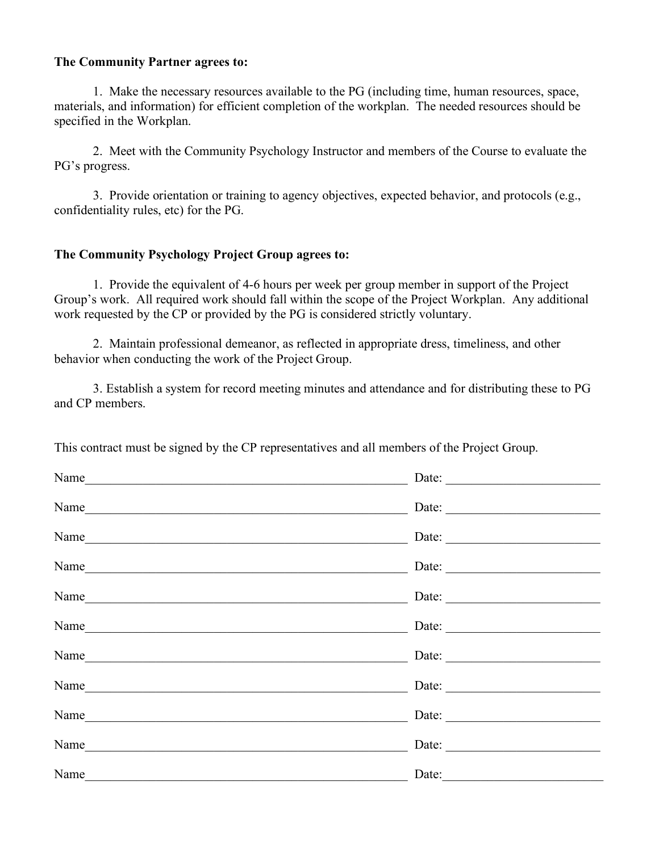#### **The Community Partner agrees to:**

1. Make the necessary resources available to the PG (including time, human resources, space, materials, and information) for efficient completion of the workplan. The needed resources should be specified in the Workplan.

2. Meet with the Community Psychology Instructor and members of the Course to evaluate the PG's progress.

3. Provide orientation or training to agency objectives, expected behavior, and protocols (e.g., confidentiality rules, etc) for the PG.

#### **The Community Psychology Project Group agrees to:**

1. Provide the equivalent of 4-6 hours per week per group member in support of the Project Group's work. All required work should fall within the scope of the Project Workplan. Any additional work requested by the CP or provided by the PG is considered strictly voluntary.

2. Maintain professional demeanor, as reflected in appropriate dress, timeliness, and other behavior when conducting the work of the Project Group.

3. Establish a system for record meeting minutes and attendance and for distributing these to PG and CP members.

|  |  | This contract must be signed by the CP representatives and all members of the Project Group. |
|--|--|----------------------------------------------------------------------------------------------|
|  |  |                                                                                              |

| Name |                                                                                                                         |
|------|-------------------------------------------------------------------------------------------------------------------------|
| Name | Date:                                                                                                                   |
| Name |                                                                                                                         |
| Name |                                                                                                                         |
| Name |                                                                                                                         |
| Name | Date:                                                                                                                   |
| Name | Date:                                                                                                                   |
| Name | Date: $\frac{1}{\sqrt{1-\frac{1}{2}}\sqrt{1-\frac{1}{2}}\sqrt{1-\frac{1}{2}}\sqrt{1-\frac{1}{2}}\sqrt{1-\frac{1}{2}}}}$ |
| Name | Date: $\qquad \qquad$                                                                                                   |
| Name |                                                                                                                         |
| Name | Date:                                                                                                                   |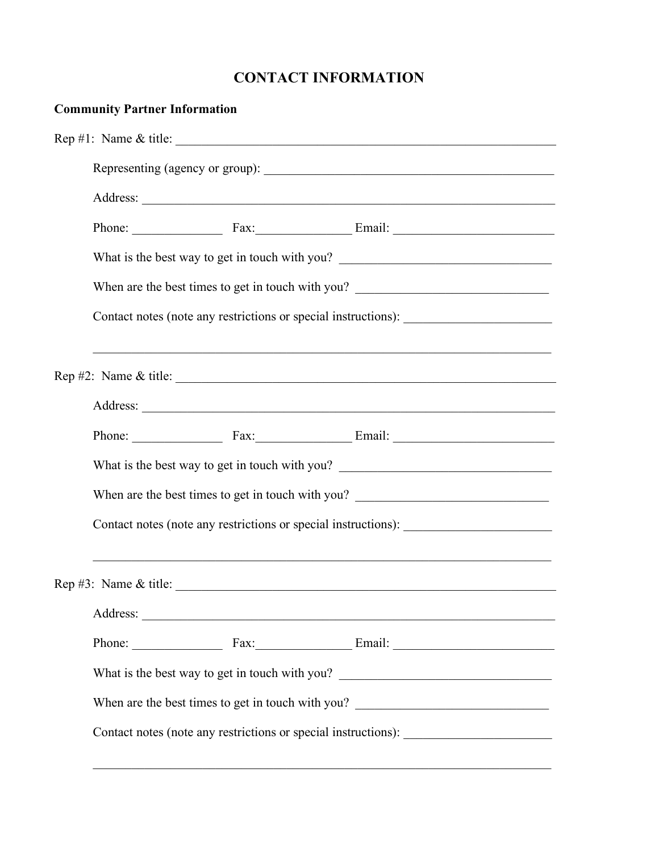## **CONTACT INFORMATION**

| <b>Community Partner Information</b>                                              |  |                                                                                                                                                                                                                                                                                                    |  |  |
|-----------------------------------------------------------------------------------|--|----------------------------------------------------------------------------------------------------------------------------------------------------------------------------------------------------------------------------------------------------------------------------------------------------|--|--|
|                                                                                   |  | Rep #1: Name & title: $\frac{1}{2}$                                                                                                                                                                                                                                                                |  |  |
|                                                                                   |  |                                                                                                                                                                                                                                                                                                    |  |  |
|                                                                                   |  |                                                                                                                                                                                                                                                                                                    |  |  |
|                                                                                   |  |                                                                                                                                                                                                                                                                                                    |  |  |
|                                                                                   |  | What is the best way to get in touch with you? __________________________________                                                                                                                                                                                                                  |  |  |
| When are the best times to get in touch with you?                                 |  |                                                                                                                                                                                                                                                                                                    |  |  |
| Contact notes (note any restrictions or special instructions): __________________ |  |                                                                                                                                                                                                                                                                                                    |  |  |
|                                                                                   |  |                                                                                                                                                                                                                                                                                                    |  |  |
|                                                                                   |  | Rep #2: Name & title: $\frac{1}{2}$ = $\frac{1}{2}$ = $\frac{1}{2}$ = $\frac{1}{2}$ = $\frac{1}{2}$ = $\frac{1}{2}$ = $\frac{1}{2}$ = $\frac{1}{2}$ = $\frac{1}{2}$ = $\frac{1}{2}$ = $\frac{1}{2}$ = $\frac{1}{2}$ = $\frac{1}{2}$ = $\frac{1}{2}$ = $\frac{1}{2}$ = $\frac{1}{2}$ = $\frac{1}{2$ |  |  |
|                                                                                   |  |                                                                                                                                                                                                                                                                                                    |  |  |
|                                                                                   |  | Phone: Fax: Fax: Email: Email:                                                                                                                                                                                                                                                                     |  |  |
| What is the best way to get in touch with you? __________________________________ |  |                                                                                                                                                                                                                                                                                                    |  |  |
| When are the best times to get in touch with you? _______________________________ |  |                                                                                                                                                                                                                                                                                                    |  |  |
| Contact notes (note any restrictions or special instructions): __________________ |  |                                                                                                                                                                                                                                                                                                    |  |  |
| Rep #3: Name & title: $\frac{2}{1}$                                               |  |                                                                                                                                                                                                                                                                                                    |  |  |
|                                                                                   |  |                                                                                                                                                                                                                                                                                                    |  |  |
|                                                                                   |  | Phone: Fax: Fax: Email: Email:                                                                                                                                                                                                                                                                     |  |  |
| What is the best way to get in touch with you? __________________________________ |  |                                                                                                                                                                                                                                                                                                    |  |  |
| When are the best times to get in touch with you?                                 |  |                                                                                                                                                                                                                                                                                                    |  |  |
| Contact notes (note any restrictions or special instructions): __________________ |  |                                                                                                                                                                                                                                                                                                    |  |  |

 $\mathcal{L}_\text{max} = \mathcal{L}_\text{max} = \mathcal{L}_\text{max} = \mathcal{L}_\text{max} = \mathcal{L}_\text{max} = \mathcal{L}_\text{max} = \mathcal{L}_\text{max} = \mathcal{L}_\text{max} = \mathcal{L}_\text{max} = \mathcal{L}_\text{max} = \mathcal{L}_\text{max} = \mathcal{L}_\text{max} = \mathcal{L}_\text{max} = \mathcal{L}_\text{max} = \mathcal{L}_\text{max} = \mathcal{L}_\text{max} = \mathcal{L}_\text{max} = \mathcal{L}_\text{max} = \mathcal{$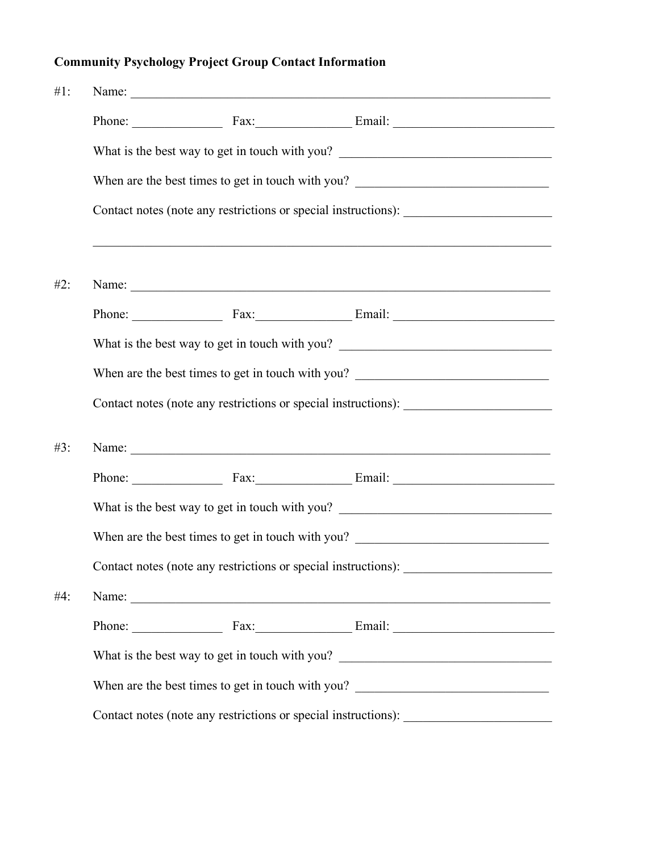# **Community Psychology Project Group Contact Information**

| $#1$ :<br>Name: |                                                                                                                                                                        |                                                                                   |                                                                                   |  |  |  |
|-----------------|------------------------------------------------------------------------------------------------------------------------------------------------------------------------|-----------------------------------------------------------------------------------|-----------------------------------------------------------------------------------|--|--|--|
|                 |                                                                                                                                                                        |                                                                                   |                                                                                   |  |  |  |
|                 |                                                                                                                                                                        | What is the best way to get in touch with you? __________________________________ |                                                                                   |  |  |  |
|                 |                                                                                                                                                                        | When are the best times to get in touch with you? _______________________________ |                                                                                   |  |  |  |
|                 |                                                                                                                                                                        | Contact notes (note any restrictions or special instructions): __________________ |                                                                                   |  |  |  |
| #2:             |                                                                                                                                                                        |                                                                                   | ,我们也不能在这里的人,我们也不能在这里的人,我们也不能在这里的人,我们也不能在这里的人,我们也不能在这里的人,我们也不能在这里的人,我们也不能在这里的人,我们也 |  |  |  |
|                 |                                                                                                                                                                        |                                                                                   |                                                                                   |  |  |  |
|                 |                                                                                                                                                                        |                                                                                   | What is the best way to get in touch with you? _________________________________  |  |  |  |
|                 |                                                                                                                                                                        |                                                                                   | When are the best times to get in touch with you? _______________________________ |  |  |  |
|                 |                                                                                                                                                                        |                                                                                   | Contact notes (note any restrictions or special instructions): __________________ |  |  |  |
| #3:             |                                                                                                                                                                        |                                                                                   |                                                                                   |  |  |  |
|                 |                                                                                                                                                                        |                                                                                   |                                                                                   |  |  |  |
|                 |                                                                                                                                                                        |                                                                                   | What is the best way to get in touch with you? __________________________________ |  |  |  |
|                 |                                                                                                                                                                        | When are the best times to get in touch with you? _______________________________ |                                                                                   |  |  |  |
|                 |                                                                                                                                                                        | Contact notes (note any restrictions or special instructions):                    |                                                                                   |  |  |  |
| #4:             |                                                                                                                                                                        |                                                                                   |                                                                                   |  |  |  |
|                 |                                                                                                                                                                        |                                                                                   |                                                                                   |  |  |  |
|                 |                                                                                                                                                                        |                                                                                   | What is the best way to get in touch with you? __________________________________ |  |  |  |
|                 | When are the best times to get in touch with you? _______________________________<br>Contact notes (note any restrictions or special instructions): __________________ |                                                                                   |                                                                                   |  |  |  |
|                 |                                                                                                                                                                        |                                                                                   |                                                                                   |  |  |  |